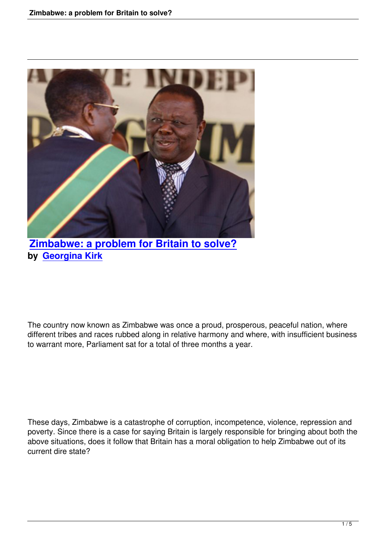

**Zimbabwe: a problem for Britain to solve? by Georgina Kirk**

The country now known as Zimbabwe was once a proud, prosperous, peaceful nation, where different tribes and races rubbed along in relative harmony and where, with insufficient business to warrant more, Parliament sat for a total of three months a year.

These days, Zimbabwe is a catastrophe of corruption, incompetence, violence, repression and poverty. Since there is a case for saying Britain is largely responsible for bringing about both the above situations, does it follow that Britain has a moral obligation to help Zimbabwe out of its current dire state?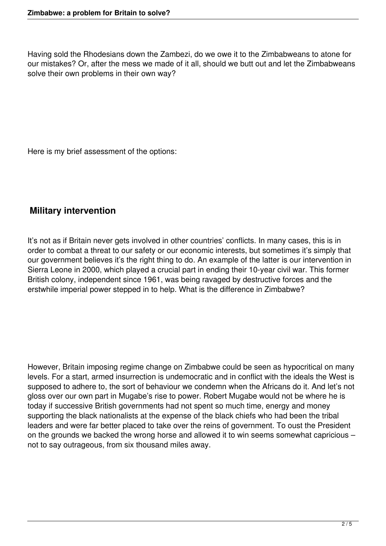Having sold the Rhodesians down the Zambezi, do we owe it to the Zimbabweans to atone for our mistakes? Or, after the mess we made of it all, should we butt out and let the Zimbabweans solve their own problems in their own way?

Here is my brief assessment of the options:

## **Military intervention**

It's not as if Britain never gets involved in other countries' conflicts. In many cases, this is in order to combat a threat to our safety or our economic interests, but sometimes it's simply that our government believes it's the right thing to do. An example of the latter is our intervention in Sierra Leone in 2000, which played a crucial part in ending their 10-year civil war. This former British colony, independent since 1961, was being ravaged by destructive forces and the erstwhile imperial power stepped in to help. What is the difference in Zimbabwe?

However, Britain imposing regime change on Zimbabwe could be seen as hypocritical on many levels. For a start, armed insurrection is undemocratic and in conflict with the ideals the West is supposed to adhere to, the sort of behaviour we condemn when the Africans do it. And let's not gloss over our own part in Mugabe's rise to power. Robert Mugabe would not be where he is today if successive British governments had not spent so much time, energy and money supporting the black nationalists at the expense of the black chiefs who had been the tribal leaders and were far better placed to take over the reins of government. To oust the President on the grounds we backed the wrong horse and allowed it to win seems somewhat capricious – not to say outrageous, from six thousand miles away.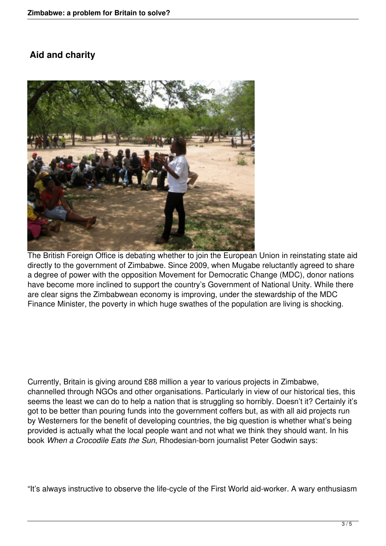## **Aid and charity**



The British Foreign Office is debating whether to join the European Union in reinstating state aid directly to the government of Zimbabwe. Since 2009, when Mugabe reluctantly agreed to share a degree of power with the opposition Movement for Democratic Change (MDC), donor nations have become more inclined to support the country's Government of National Unity. While there are clear signs the Zimbabwean economy is improving, under the stewardship of the MDC Finance Minister, the poverty in which huge swathes of the population are living is shocking.

Currently, Britain is giving around £88 million a year to various projects in Zimbabwe, channelled through NGOs and other organisations. Particularly in view of our historical ties, this seems the least we can do to help a nation that is struggling so horribly. Doesn't it? Certainly it's got to be better than pouring funds into the government coffers but, as with all aid projects run by Westerners for the benefit of developing countries, the big question is whether what's being provided is actually what the local people want and not what we think they should want. In his book *When a Crocodile Eats the Sun*, Rhodesian-born journalist Peter Godwin says:

"It's always instructive to observe the life-cycle of the First World aid-worker. A wary enthusiasm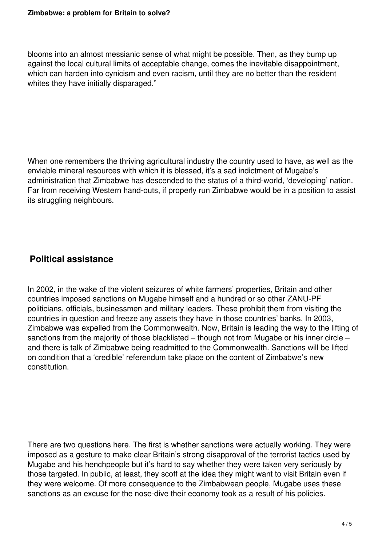blooms into an almost messianic sense of what might be possible. Then, as they bump up against the local cultural limits of acceptable change, comes the inevitable disappointment, which can harden into cynicism and even racism, until they are no better than the resident whites they have initially disparaged."

When one remembers the thriving agricultural industry the country used to have, as well as the enviable mineral resources with which it is blessed, it's a sad indictment of Mugabe's administration that Zimbabwe has descended to the status of a third-world, 'developing' nation. Far from receiving Western hand-outs, if properly run Zimbabwe would be in a position to assist its struggling neighbours.

## **Political assistance**

In 2002, in the wake of the violent seizures of white farmers' properties, Britain and other countries imposed sanctions on Mugabe himself and a hundred or so other ZANU-PF politicians, officials, businessmen and military leaders. These prohibit them from visiting the countries in question and freeze any assets they have in those countries' banks. In 2003, Zimbabwe was expelled from the Commonwealth. Now, Britain is leading the way to the lifting of sanctions from the majority of those blacklisted – though not from Mugabe or his inner circle – and there is talk of Zimbabwe being readmitted to the Commonwealth. Sanctions will be lifted on condition that a 'credible' referendum take place on the content of Zimbabwe's new constitution.

There are two questions here. The first is whether sanctions were actually working. They were imposed as a gesture to make clear Britain's strong disapproval of the terrorist tactics used by Mugabe and his henchpeople but it's hard to say whether they were taken very seriously by those targeted. In public, at least, they scoff at the idea they might want to visit Britain even if they were welcome. Of more consequence to the Zimbabwean people, Mugabe uses these sanctions as an excuse for the nose-dive their economy took as a result of his policies.